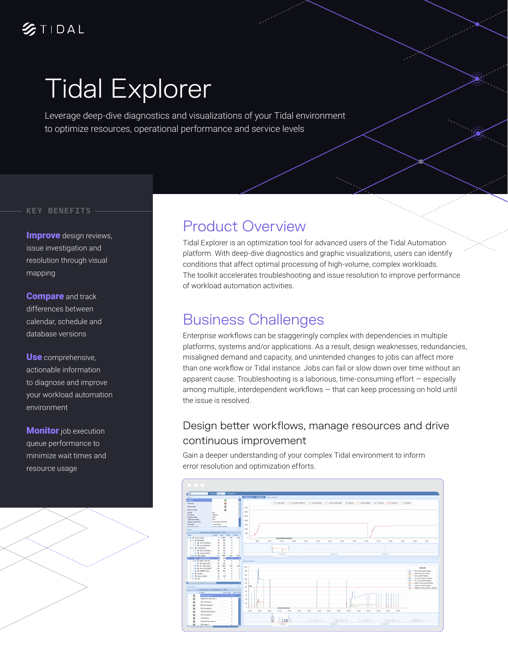# Tidal Explorer

Leverage deep-dive diagnostics and visualizations of your Tidal environment to optimize resources, operational performance and service levels

#### KEY BENEFITS

**Improve** design reviews, issue investigation and resolution through visual mapping

**Compare** and track differences between calendar, schedule and database versions

Use comprehensive, actionable information to diagnose and improve your workload automation environment

**Monitor** job execution queue performance to minimize wait times and resource usage



### Product Overview

Tidal Explorer is an optimization tool for advanced users of the Tidal Automation platform. With deep-dive diagnostics and graphic visualizations, users can identify conditions that affect optimal processing of high-volume, complex workloads. The toolkit accelerates troubleshooting and issue resolution to improve performance of workload automation activities.

### Business Challenges

Enterprise workflows can be staggeringly complex with dependencies in multiple platforms, systems and/or applications. As a result, design weaknesses, redundancies, misaligned demand and capacity, and unintended changes to jobs can affect more than one workflow or Tidal instance. Jobs can fail or slow down over time without an apparent cause. Troubleshooting is a laborious, time-consuming effort — especially among multiple, interdependent workflows — that can keep processing on hold until the issue is resolved.

### Design better workflows, manage resources and drive continuous improvement

Gain a deeper understanding of your complex Tidal environment to inform error resolution and optimization efforts.